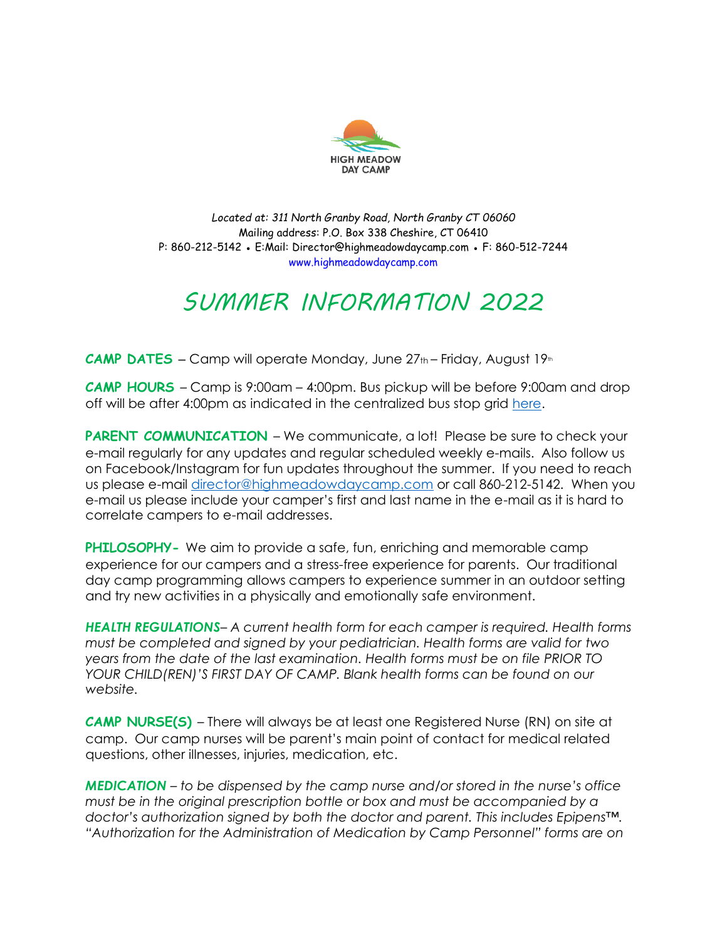

*Located at: 311 North Granby Road, North Granby CT 06060* Mailing address: P.O. Box 338 Cheshire, CT 06410 P: 860-212-5142 ● E:Mail: Director@highmeadowdaycamp.com ● F: 860-512-7244 www.highmeadowdaycamp.com

### *SUMMER INFORMATION 2022*

**CAMP DATES** – Camp will operate Monday, June 27th – Friday, August 19th

**CAMP HOURS** – Camp is 9:00am – 4:00pm. Bus pickup will be before 9:00am and drop off will be after 4:00pm as indicated in the centralized bus stop grid [here.](https://digitalmarketing.blob.core.windows.net/6516/files/2022_Bus_Routes.pdf)

**PARENT COMMUNICATION** – We communicate, a lot! Please be sure to check your e-mail regularly for any updates and regular scheduled weekly e-mails. Also follow us on Facebook/Instagram for fun updates throughout the summer. If you need to reach us please e-mail [director@highmeadowdaycamp.com](mailto:director@highmeadowdaycamp.com) or call 860-212-5142. When you e-mail us please include your camper's first and last name in the e-mail as it is hard to correlate campers to e-mail addresses.

**PHILOSOPHY-** We aim to provide a safe, fun, enriching and memorable camp experience for our campers and a stress-free experience for parents. Our traditional day camp programming allows campers to experience summer in an outdoor setting and try new activities in a physically and emotionally safe environment.

*HEALTH REGULATIONS– A current health form for each camper is required. Health forms must be completed and signed by your pediatrician. Health forms are valid for two years from the date of the last examination. Health forms must be on file PRIOR TO YOUR CHILD(REN)'S FIRST DAY OF CAMP. Blank health forms can be found on our website.*

**CAMP NURSE(S)** – There will always be at least one Registered Nurse (RN) on site at camp. Our camp nurses will be parent's main point of contact for medical related questions, other illnesses, injuries, medication, etc.

*MEDICATION – to be dispensed by the camp nurse and/or stored in the nurse's office must be in the original prescription bottle or box and must be accompanied by a doctor's authorization signed by both the doctor and parent. This includes Epipens™. "Authorization for the Administration of Medication by Camp Personnel" forms are on*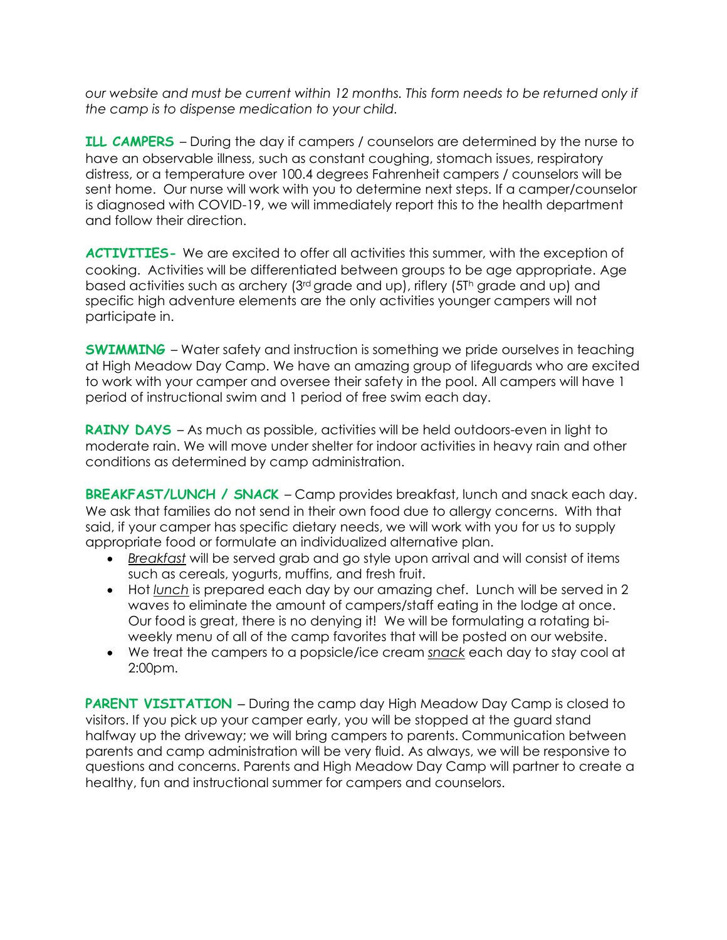*our website and must be current within 12 months. This form needs to be returned only if the camp is to dispense medication to your child.*

**ILL CAMPERS** – During the day if campers / counselors are determined by the nurse to have an observable illness, such as constant coughing, stomach issues, respiratory distress, or a temperature over 100.4 degrees Fahrenheit campers / counselors will be sent home. Our nurse will work with you to determine next steps. If a camper/counselor is diagnosed with COVID-19, we will immediately report this to the health department and follow their direction.

**ACTIVITIES-** We are excited to offer all activities this summer, with the exception of cooking. Activities will be differentiated between groups to be age appropriate. Age based activities such as archery (3rd grade and up), riflery (5T<sup>h</sup> grade and up) and specific high adventure elements are the only activities younger campers will not participate in.

**SWIMMING** – Water safety and instruction is something we pride ourselves in teaching at High Meadow Day Camp. We have an amazing group of lifeguards who are excited to work with your camper and oversee their safety in the pool. All campers will have 1 period of instructional swim and 1 period of free swim each day.

**RAINY DAYS** - As much as possible, activities will be held outdoors-even in light to moderate rain. We will move under shelter for indoor activities in heavy rain and other conditions as determined by camp administration.

**BREAKFAST/LUNCH / SNACK** – Camp provides breakfast, lunch and snack each day. We ask that families do not send in their own food due to allergy concerns. With that said, if your camper has specific dietary needs, we will work with you for us to supply appropriate food or formulate an individualized alternative plan.

- *Breakfast* will be served grab and go style upon arrival and will consist of items such as cereals, yogurts, muffins, and fresh fruit.
- Hot *lunch* is prepared each day by our amazing chef. Lunch will be served in 2 waves to eliminate the amount of campers/staff eating in the lodge at once. Our food is great, there is no denying it! We will be formulating a rotating biweekly menu of all of the camp favorites that will be posted on our website.
- We treat the campers to a popsicle/ice cream *snack* each day to stay cool at 2:00pm.

**PARENT VISITATION** – During the camp day High Meadow Day Camp is closed to visitors. If you pick up your camper early, you will be stopped at the guard stand halfway up the driveway; we will bring campers to parents. Communication between parents and camp administration will be very fluid. As always, we will be responsive to questions and concerns. Parents and High Meadow Day Camp will partner to create a healthy, fun and instructional summer for campers and counselors.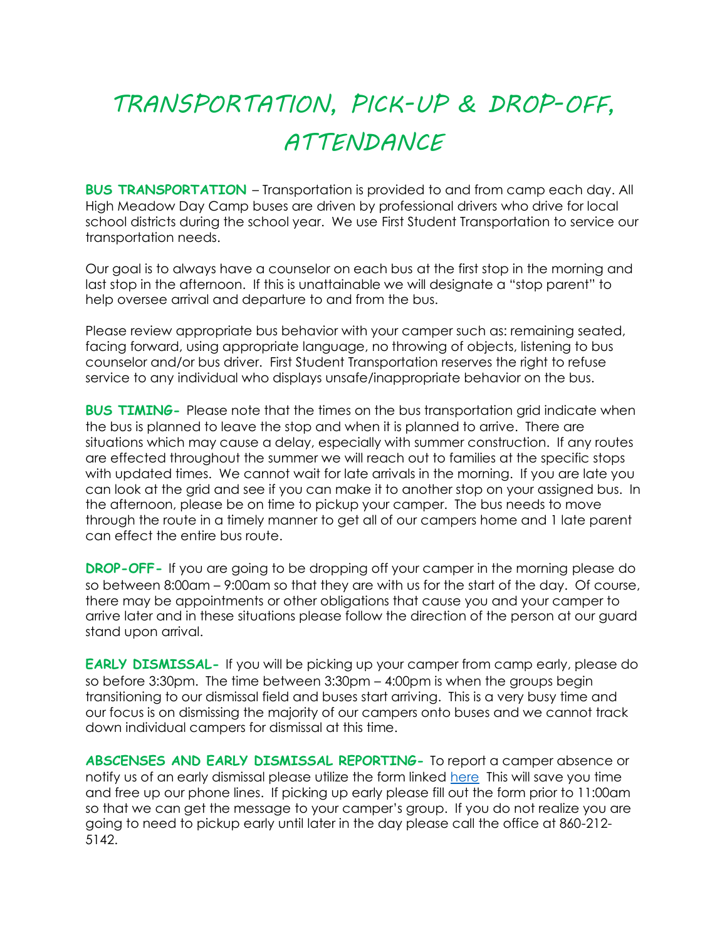## *TRANSPORTATION, PICK-UP & DROP-OFF, ATTENDANCE*

**BUS TRANSPORTATION** – Transportation is provided to and from camp each day. All High Meadow Day Camp buses are driven by professional drivers who drive for local school districts during the school year. We use First Student Transportation to service our transportation needs.

Our goal is to always have a counselor on each bus at the first stop in the morning and last stop in the afternoon. If this is unattainable we will designate a "stop parent" to help oversee arrival and departure to and from the bus.

Please review appropriate bus behavior with your camper such as: remaining seated, facing forward, using appropriate language, no throwing of objects, listening to bus counselor and/or bus driver. First Student Transportation reserves the right to refuse service to any individual who displays unsafe/inappropriate behavior on the bus.

**BUS TIMING-** Please note that the times on the bus transportation grid indicate when the bus is planned to leave the stop and when it is planned to arrive. There are situations which may cause a delay, especially with summer construction. If any routes are effected throughout the summer we will reach out to families at the specific stops with updated times. We cannot wait for late arrivals in the morning. If you are late you can look at the grid and see if you can make it to another stop on your assigned bus. In the afternoon, please be on time to pickup your camper. The bus needs to move through the route in a timely manner to get all of our campers home and 1 late parent can effect the entire bus route.

**DROP-OFF-** If you are going to be dropping off your camper in the morning please do so between 8:00am – 9:00am so that they are with us for the start of the day. Of course, there may be appointments or other obligations that cause you and your camper to arrive later and in these situations please follow the direction of the person at our guard stand upon arrival.

**EARLY DISMISSAL-** If you will be picking up your camper from camp early, please do so before 3:30pm. The time between 3:30pm – 4:00pm is when the groups begin transitioning to our dismissal field and buses start arriving. This is a very busy time and our focus is on dismissing the majority of our campers onto buses and we cannot track down individual campers for dismissal at this time.

**ABSCENSES AND EARLY DISMISSAL REPORTING-** To report a camper absence or notify us of an early dismissal please utilize the form linked [here](https://forms.gle/oQAL9bRqTxzqQnaH6) This will save you time and free up our phone lines. If picking up early please fill out the form prior to 11:00am so that we can get the message to your camper's group. If you do not realize you are going to need to pickup early until later in the day please call the office at 860-212- 5142.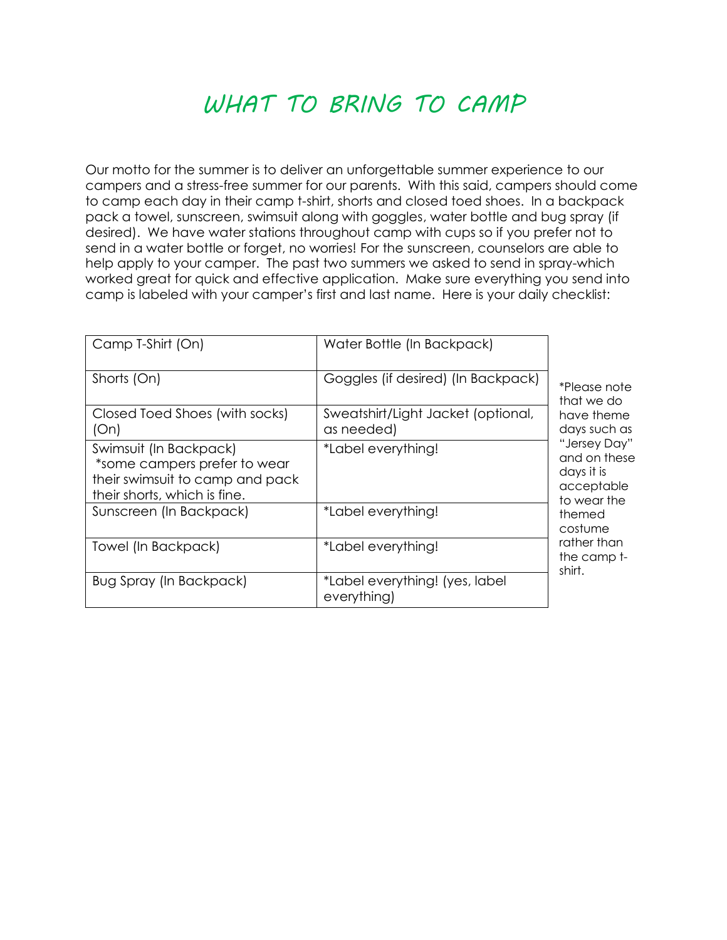#### *WHAT TO BRING TO CAMP*

Our motto for the summer is to deliver an unforgettable summer experience to our campers and a stress-free summer for our parents. With this said, campers should come to camp each day in their camp t-shirt, shorts and closed toed shoes. In a backpack pack a towel, sunscreen, swimsuit along with goggles, water bottle and bug spray (if desired). We have water stations throughout camp with cups so if you prefer not to send in a water bottle or forget, no worries! For the sunscreen, counselors are able to help apply to your camper. The past two summers we asked to send in spray-which worked great for quick and effective application. Make sure everything you send into camp is labeled with your camper's first and last name. Here is your daily checklist:

| Camp T-Shirt (On)                                                                                                         | Water Bottle (In Backpack)                       | *Please note<br>that we do<br>have theme<br>days such as<br>"Jersey Day"<br>and on these<br>days it is<br>acceptable<br>to wear the<br>themed<br>costume<br>rather than<br>the camp t-<br>shirt. |
|---------------------------------------------------------------------------------------------------------------------------|--------------------------------------------------|--------------------------------------------------------------------------------------------------------------------------------------------------------------------------------------------------|
| Shorts (On)                                                                                                               | Goggles (if desired) (In Backpack)               |                                                                                                                                                                                                  |
| Closed Toed Shoes (with socks)<br>(On)                                                                                    | Sweatshirt/Light Jacket (optional,<br>as needed) |                                                                                                                                                                                                  |
| Swimsuit (In Backpack)<br>*some campers prefer to wear<br>their swimsuit to camp and pack<br>their shorts, which is fine. | *Label everything!                               |                                                                                                                                                                                                  |
| Sunscreen (In Backpack)                                                                                                   | *Label everything!                               |                                                                                                                                                                                                  |
| Towel (In Backpack)                                                                                                       | *Label everything!                               |                                                                                                                                                                                                  |
| Bug Spray (In Backpack)                                                                                                   | *Label everything! (yes, label<br>everything)    |                                                                                                                                                                                                  |